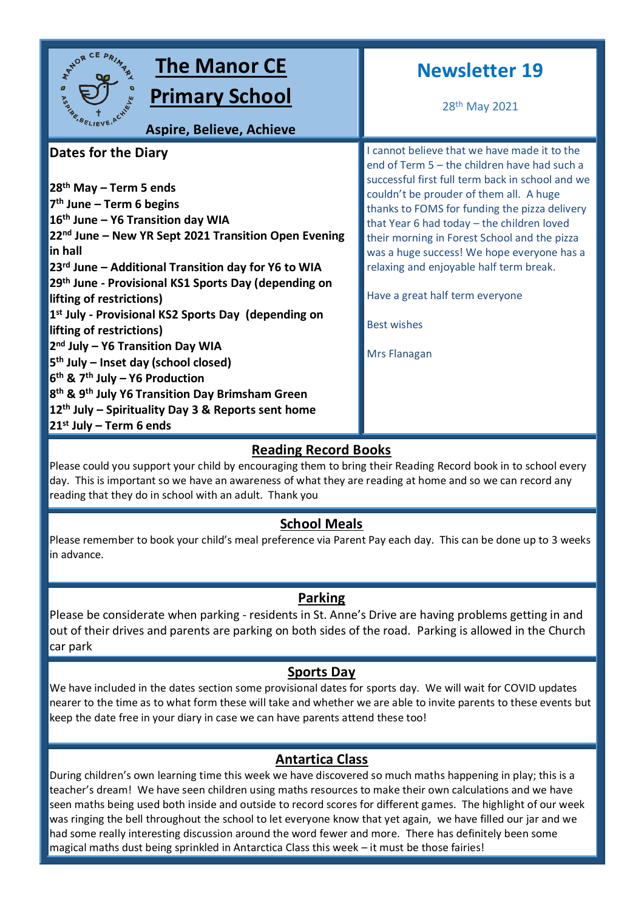

# **Reading Record Books**

Please could you support your child by encouraging them to bring their Reading Record book in to school every day. This is important so we have an awareness of what they are reading at home and so we can record any reading that they do in school with an adult. Thank you

# **School Meals**

Please remember to book your child's meal preference via Parent Pay each day. This can be done up to 3 weeks in advance.

# **Parking**

Please be considerate when parking - residents in St. Anne's Drive are having problems getting in and out of their drives and parents are parking on both sides of the road. Parking is allowed in the Church car park

# **Sports Day**

We have included in the dates section some provisional dates for sports day. We will wait for COVID updates nearer to the time as to what form these will take and whether we are able to invite parents to these events but keep the date free in your diary in case we can have parents attend these too!

# **Antartica Class**

During children's own learning time this week we have discovered so much maths happening in play; this is a teacher's dream! We have seen children using maths resources to make their own calculations and we have seen maths being used both inside and outside to record scores for different games. The highlight of our week was ringing the bell throughout the school to let everyone know that yet again, we have filled our jar and we had some really interesting discussion around the word fewer and more. There has definitely been some magical maths dust being sprinkled in Antarctica Class this week – it must be those fairies!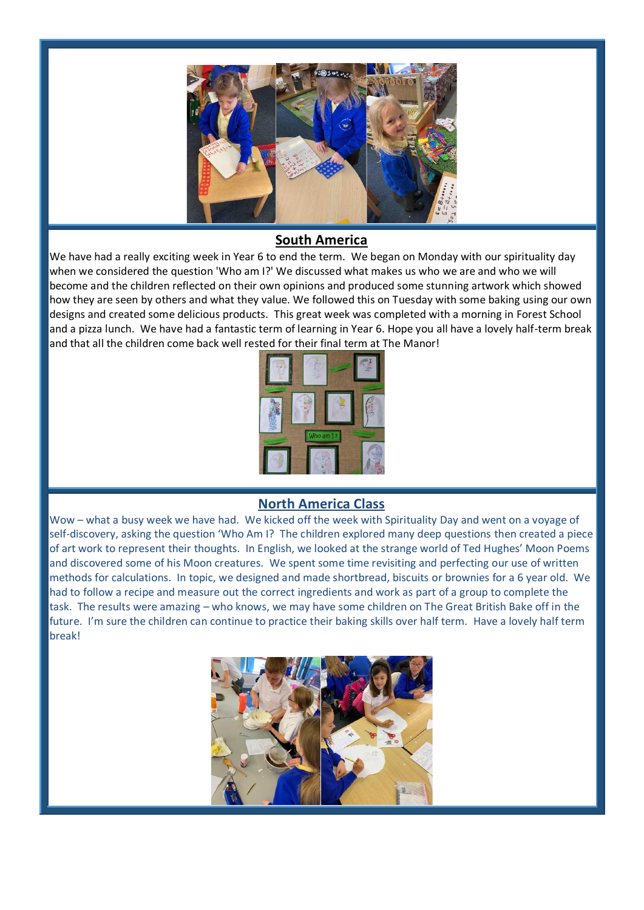

### **South America**

We have had a really exciting week in Year 6 to end the term. We began on Monday with our spirituality day when we considered the question 'Who am I?' We discussed what makes us who we are and who we will become and the children reflected on their own opinions and produced some stunning artwork which showed how they are seen by others and what they value. We followed this on Tuesday with some baking using our own designs and created some delicious products. This great week was completed with a morning in Forest School and a pizza lunch. We have had a fantastic term of learning in Year 6. Hope you all have a lovely half-term break and that all the children come back well rested for their final term at The Manor!



### **North America Class**

Wow – what a busy week we have had. We kicked off the week with Spirituality Day and went on a voyage of self-discovery, asking the question 'Who Am I? The children explored many deep questions then created a piece of art work to represent their thoughts. In English, we looked at the strange world of Ted Hughes' Moon Poems and discovered some of his Moon creatures. We spent some time revisiting and perfecting our use of written methods for calculations. In topic, we designed and made shortbread, biscuits or brownies for a 6 year old. We had to follow a recipe and measure out the correct ingredients and work as part of a group to complete the task. The results were amazing – who knows, we may have some children on The Great British Bake off in the future. I'm sure the children can continue to practice their baking skills over half term. Have a lovely half term break!

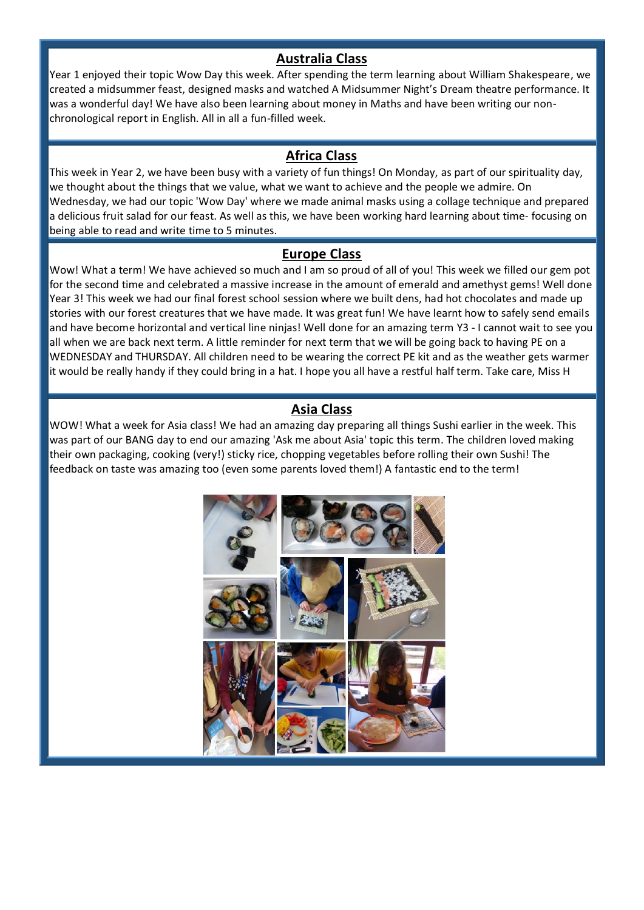#### **Australia Class**

Year 1 enjoyed their topic Wow Day this week. After spending the term learning about William Shakespeare, we created a midsummer feast, designed masks and watched A Midsummer Night's Dream theatre performance. It was a wonderful day! We have also been learning about money in Maths and have been writing our nonchronological report in English. All in all a fun-filled week.

#### **Africa Class**

This week in Year 2, we have been busy with a variety of fun things! On Monday, as part of our spirituality day, we thought about the things that we value, what we want to achieve and the people we admire. On Wednesday, we had our topic 'Wow Day' where we made animal masks using a collage technique and prepared a delicious fruit salad for our feast. As well as this, we have been working hard learning about time- focusing on being able to read and write time to 5 minutes.

#### **Europe Class**

Wow! What a term! We have achieved so much and I am so proud of all of you! This week we filled our gem pot for the second time and celebrated a massive increase in the amount of emerald and amethyst gems! Well done Year 3! This week we had our final forest school session where we built dens, had hot chocolates and made up stories with our forest creatures that we have made. It was great fun! We have learnt how to safely send emails and have become horizontal and vertical line ninjas! Well done for an amazing term Y3 - I cannot wait to see you all when we are back next term. A little reminder for next term that we will be going back to having PE on a WEDNESDAY and THURSDAY. All children need to be wearing the correct PE kit and as the weather gets warmer it would be really handy if they could bring in a hat. I hope you all have a restful half term. Take care, Miss H

### **Asia Class**

WOW! What a week for Asia class! We had an amazing day preparing all things Sushi earlier in the week. This was part of our BANG day to end our amazing 'Ask me about Asia' topic this term. The children loved making their own packaging, cooking (very!) sticky rice, chopping vegetables before rolling their own Sushi! The feedback on taste was amazing too (even some parents loved them!) A fantastic end to the term!